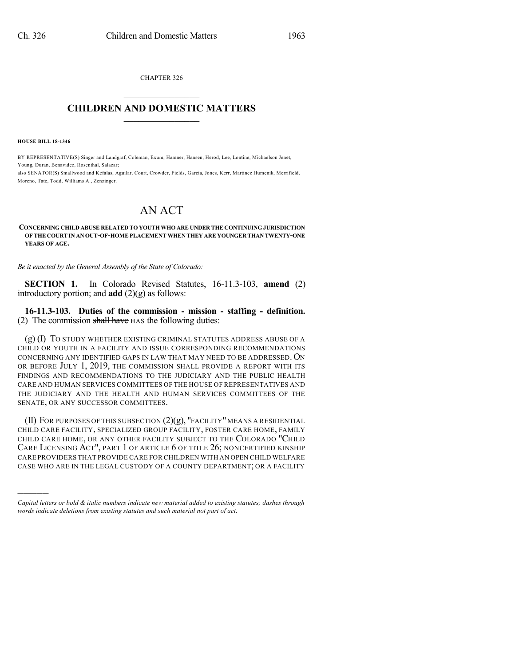CHAPTER 326  $\overline{\phantom{a}}$  . The set of the set of the set of the set of the set of the set of the set of the set of the set of the set of the set of the set of the set of the set of the set of the set of the set of the set of the set o

## **CHILDREN AND DOMESTIC MATTERS**  $\_$

**HOUSE BILL 18-1346**

)))))

BY REPRESENTATIVE(S) Singer and Landgraf, Coleman, Exum, Hamner, Hansen, Herod, Lee, Lontine, Michaelson Jenet, Young, Duran, Benavidez, Rosenthal, Salazar; also SENATOR(S) Smallwood and Kefalas, Aguilar, Court, Crowder, Fields, Garcia, Jones, Kerr, Martinez Humenik, Merrifield,

Moreno, Tate, Todd, Williams A., Zenzinger.

## AN ACT

## **CONCERNING CHILD ABUSE RELATED TO YOUTH WHO ARE UNDER THE CONTINUING JURISDICTION OFTHE COURTIN AN OUT-OF-HOMEPLACEMENT WHEN THEY ARE YOUNGER THAN TWENTY-ONE YEARS OF AGE.**

*Be it enacted by the General Assembly of the State of Colorado:*

**SECTION 1.** In Colorado Revised Statutes, 16-11.3-103, **amend** (2) introductory portion; and **add** (2)(g) as follows:

**16-11.3-103. Duties of the commission - mission - staffing - definition.** (2) The commission shall have HAS the following duties:

(g) (I) TO STUDY WHETHER EXISTING CRIMINAL STATUTES ADDRESS ABUSE OF A CHILD OR YOUTH IN A FACILITY AND ISSUE CORRESPONDING RECOMMENDATIONS CONCERNING ANY IDENTIFIED GAPS IN LAW THAT MAY NEED TO BE ADDRESSED. ON OR BEFORE JULY 1, 2019, THE COMMISSION SHALL PROVIDE A REPORT WITH ITS FINDINGS AND RECOMMENDATIONS TO THE JUDICIARY AND THE PUBLIC HEALTH CARE AND HUMAN SERVICES COMMITTEES OF THE HOUSE OF REPRESENTATIVES AND THE JUDICIARY AND THE HEALTH AND HUMAN SERVICES COMMITTEES OF THE SENATE, OR ANY SUCCESSOR COMMITTEES.

(II) FOR PURPOSES OF THIS SUBSECTION  $(2)(g)$ , "FACILITY" MEANS A RESIDENTIAL CHILD CARE FACILITY, SPECIALIZED GROUP FACILITY, FOSTER CARE HOME, FAMILY CHILD CARE HOME, OR ANY OTHER FACILITY SUBJECT TO THE COLORADO "CHILD CARE LICENSING ACT", PART 1 OF ARTICLE 6 OF TITLE 26; NONCERTIFIED KINSHIP CARE PROVIDERS THAT PROVIDE CARE FOR CHILDREN WITH AN OPEN CHILD WELFARE CASE WHO ARE IN THE LEGAL CUSTODY OF A COUNTY DEPARTMENT; OR A FACILITY

*Capital letters or bold & italic numbers indicate new material added to existing statutes; dashes through words indicate deletions from existing statutes and such material not part of act.*